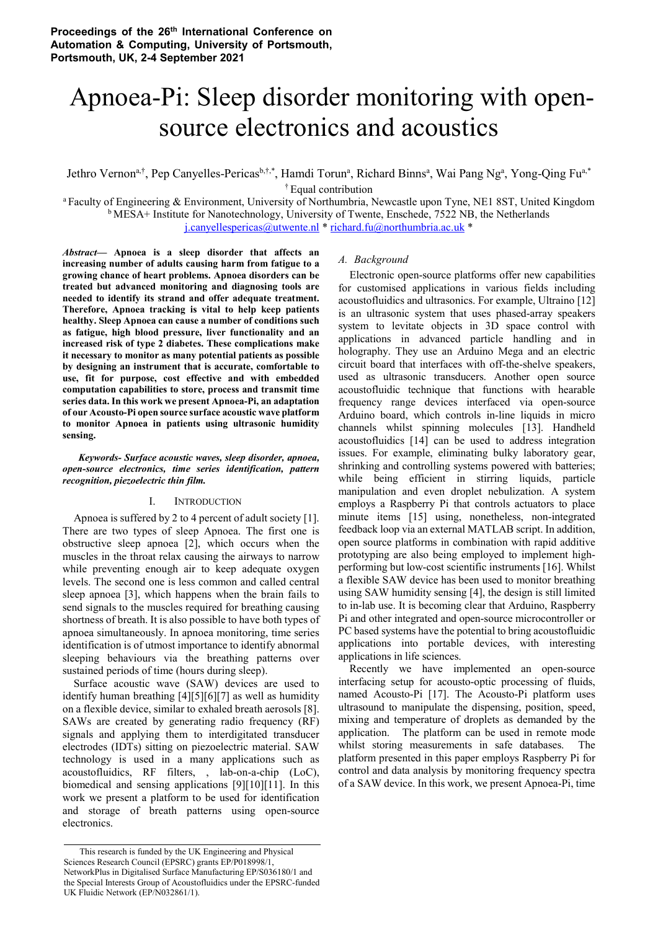# Apnoea-Pi: Sleep disorder monitoring with opensource electronics and acoustics

Jethro Vernon<sup>a,†</sup>, Pep Canyelles-Pericas<sup>b,†,\*</sup>, Hamdi Torun<sup>a</sup>, Richard Binns<sup>a</sup>, Wai Pang Ng<sup>a</sup>, Yong-Qing Fu<sup>a,\*</sup> † Equal contribution

<sup>a</sup>Faculty of Engineering & Environment, University of Northumbria, Newcastle upon Tyne, NE1 8ST, United Kingdom  $b$ MESA+ Institute for Nanotechnology, University of Twente, Enschede, 7522 NB, the Netherlands j.canyellespericas@utwente.nl \* richard.fu@northumbria.ac.uk \*

*Abstract***— Apnoea is a sleep disorder that affects an increasing number of adults causing harm from fatigue to a growing chance of heart problems. Apnoea disorders can be treated but advanced monitoring and diagnosing tools are needed to identify its strand and offer adequate treatment. Therefore, Apnoea tracking is vital to help keep patients healthy. Sleep Apnoea can cause a number of conditions such as fatigue, high blood pressure, liver functionality and an increased risk of type 2 diabetes. These complications make it necessary to monitor as many potential patients as possible by designing an instrument that is accurate, comfortable to use, fit for purpose, cost effective and with embedded computation capabilities to store, process and transmit time series data. In this work we present Apnoea-Pi, an adaptation of our Acousto-Pi open source surface acoustic wave platform to monitor Apnoea in patients using ultrasonic humidity sensing.** 

*Keywords- Surface acoustic waves, sleep disorder, apnoea, open-source electronics, time series identification, pattern recognition, piezoelectric thin film.* 

## I. INTRODUCTION

Apnoea is suffered by 2 to 4 percent of adult society [1]. There are two types of sleep Apnoea. The first one is obstructive sleep apnoea [2], which occurs when the muscles in the throat relax causing the airways to narrow while preventing enough air to keep adequate oxygen levels. The second one is less common and called central sleep apnoea [3], which happens when the brain fails to send signals to the muscles required for breathing causing shortness of breath. It is also possible to have both types of apnoea simultaneously. In apnoea monitoring, time series identification is of utmost importance to identify abnormal sleeping behaviours via the breathing patterns over sustained periods of time (hours during sleep).

Surface acoustic wave (SAW) devices are used to identify human breathing [4][5][6][7] as well as humidity on a flexible device, similar to exhaled breath aerosols [8]. SAWs are created by generating radio frequency (RF) signals and applying them to interdigitated transducer electrodes (IDTs) sitting on piezoelectric material. SAW technology is used in a many applications such as acoustofluidics, RF filters, , lab-on-a-chip (LoC), biomedical and sensing applications [9][10][11]. In this work we present a platform to be used for identification and storage of breath patterns using open-source electronics.

# *A. Background*

Electronic open-source platforms offer new capabilities for customised applications in various fields including acoustofluidics and ultrasonics. For example, Ultraino [12] is an ultrasonic system that uses phased-array speakers system to levitate objects in 3D space control with applications in advanced particle handling and in holography. They use an Arduino Mega and an electric circuit board that interfaces with off-the-shelve speakers, used as ultrasonic transducers. Another open source acoustofluidic technique that functions with hearable frequency range devices interfaced via open-source Arduino board, which controls in-line liquids in micro channels whilst spinning molecules [13]. Handheld acoustofluidics [14] can be used to address integration issues. For example, eliminating bulky laboratory gear, shrinking and controlling systems powered with batteries; while being efficient in stirring liquids, particle manipulation and even droplet nebulization. A system employs a Raspberry Pi that controls actuators to place minute items [15] using, nonetheless, non-integrated feedback loop via an external MATLAB script. In addition, open source platforms in combination with rapid additive prototyping are also being employed to implement highperforming but low-cost scientific instruments [16]. Whilst a flexible SAW device has been used to monitor breathing using SAW humidity sensing [4], the design is still limited to in-lab use. It is becoming clear that Arduino, Raspberry Pi and other integrated and open-source microcontroller or PC based systems have the potential to bring acoustofluidic applications into portable devices, with interesting applications in life sciences.

Recently we have implemented an open-source interfacing setup for acousto-optic processing of fluids, named Acousto-Pi [17]. The Acousto-Pi platform uses ultrasound to manipulate the dispensing, position, speed, mixing and temperature of droplets as demanded by the application. The platform can be used in remote mode whilst storing measurements in safe databases. The platform presented in this paper employs Raspberry Pi for control and data analysis by monitoring frequency spectra of a SAW device. In this work, we present Apnoea-Pi, time

This research is funded by the UK Engineering and Physical Sciences Research Council (EPSRC) grants EP/P018998/1, NetworkPlus in Digitalised Surface Manufacturing EP/S036180/1 and the Special Interests Group of Acoustofluidics under the EPSRC-funded UK Fluidic Network (EP/N032861/1).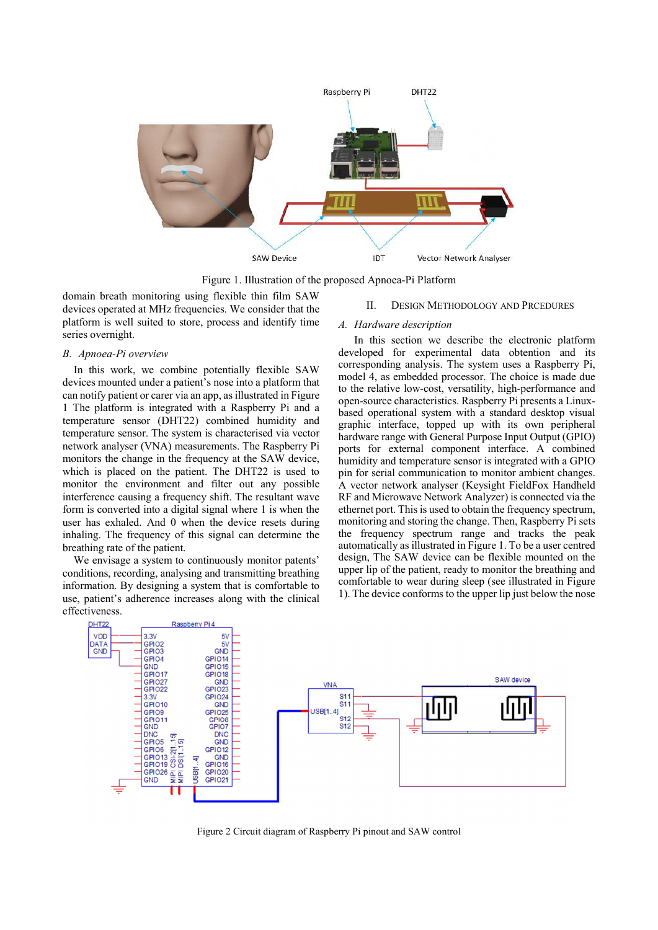

Figure 1. Illustration of the proposed Apnoea-Pi Platform

domain breath monitoring using flexible thin film SAW devices operated at MHz frequencies. We consider that the platform is well suited to store, process and identify time series overnight.

### *B. Apnoea-Pi overview*

In this work, we combine potentially flexible SAW devices mounted under a patient's nose into a platform that can notify patient or carer via an app, as illustrated in Figure 1 The platform is integrated with a Raspberry Pi and a temperature sensor (DHT22) combined humidity and temperature sensor. The system is characterised via vector network analyser (VNA) measurements. The Raspberry Pi monitors the change in the frequency at the SAW device, which is placed on the patient. The DHT22 is used to monitor the environment and filter out any possible interference causing a frequency shift. The resultant wave form is converted into a digital signal where 1 is when the user has exhaled. And 0 when the device resets during inhaling. The frequency of this signal can determine the breathing rate of the patient.

We envisage a system to continuously monitor patents' conditions, recording, analysing and transmitting breathing information. By designing a system that is comfortable to use, patient's adherence increases along with the clinical effectiveness.

#### II. DESIGN METHODOLOGY AND PRCEDURES

## *A. Hardware description*

In this section we describe the electronic platform developed for experimental data obtention and its corresponding analysis. The system uses a Raspberry Pi, model 4, as embedded processor. The choice is made due to the relative low-cost, versatility, high-performance and open-source characteristics. Raspberry Pi presents a Linuxbased operational system with a standard desktop visual graphic interface, topped up with its own peripheral hardware range with General Purpose Input Output (GPIO) ports for external component interface. A combined humidity and temperature sensor is integrated with a GPIO pin for serial communication to monitor ambient changes. A vector network analyser (Keysight FieldFox Handheld RF and Microwave Network Analyzer) is connected via the ethernet port. This is used to obtain the frequency spectrum, monitoring and storing the change. Then, Raspberry Pi sets the frequency spectrum range and tracks the peak automatically as illustrated in Figure 1. To be a user centred design, The SAW device can be flexible mounted on the upper lip of the patient, ready to monitor the breathing and comfortable to wear during sleep (see illustrated in Figure 1). The device conforms to the upper lip just below the nose



Figure 2 Circuit diagram of Raspberry Pi pinout and SAW control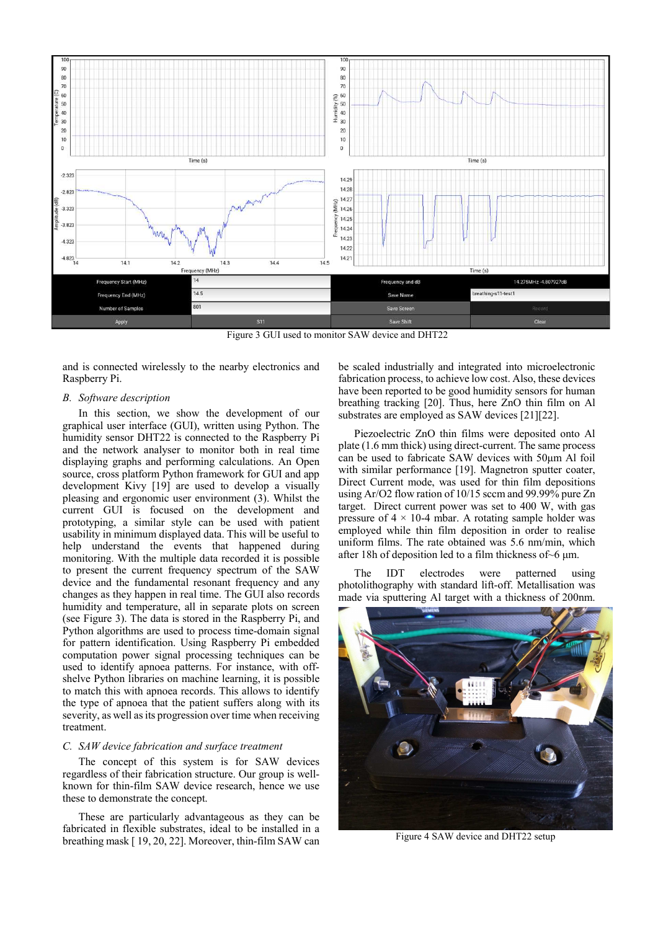

Figure 3 GUI used to monitor SAW device and DHT22

and is connected wirelessly to the nearby electronics and Raspberry Pi.

### *B. Software description*

In this section, we show the development of our graphical user interface (GUI), written using Python. The humidity sensor DHT22 is connected to the Raspberry Pi and the network analyser to monitor both in real time displaying graphs and performing calculations. An Open source, cross platform Python framework for GUI and app development Kivy [19] are used to develop a visually pleasing and ergonomic user environment (3). Whilst the current GUI is focused on the development and prototyping, a similar style can be used with patient usability in minimum displayed data. This will be useful to help understand the events that happened during monitoring. With the multiple data recorded it is possible to present the current frequency spectrum of the SAW device and the fundamental resonant frequency and any changes as they happen in real time. The GUI also records humidity and temperature, all in separate plots on screen (see Figure 3). The data is stored in the Raspberry Pi, and Python algorithms are used to process time-domain signal for pattern identification. Using Raspberry Pi embedded computation power signal processing techniques can be used to identify apnoea patterns. For instance, with offshelve Python libraries on machine learning, it is possible to match this with apnoea records. This allows to identify the type of apnoea that the patient suffers along with its severity, as well as its progression over time when receiving treatment.

# *C. SAW device fabrication and surface treatment*

The concept of this system is for SAW devices regardless of their fabrication structure. Our group is wellknown for thin-film SAW device research, hence we use these to demonstrate the concept.

These are particularly advantageous as they can be fabricated in flexible substrates, ideal to be installed in a breathing mask [ 19, 20, 22]. Moreover, thin-film SAW can be scaled industrially and integrated into microelectronic fabrication process, to achieve low cost. Also, these devices have been reported to be good humidity sensors for human breathing tracking [20]. Thus, here ZnO thin film on Al substrates are employed as SAW devices [21][22].

Piezoelectric ZnO thin films were deposited onto Al plate (1.6 mm thick) using direct-current. The same process can be used to fabricate SAW devices with 50μm Al foil with similar performance [19]. Magnetron sputter coater, Direct Current mode, was used for thin film depositions using Ar/O2 flow ration of 10/15 sccm and 99.99% pure Zn target. Direct current power was set to 400 W, with gas pressure of  $4 \times 10-4$  mbar. A rotating sample holder was employed while thin film deposition in order to realise uniform films. The rate obtained was 5.6 nm/min, which after 18h of deposition led to a film thickness of~6 μm.

The IDT electrodes were patterned using photolithography with standard lift-off. Metallisation was made via sputtering Al target with a thickness of 200nm.



Figure 4 SAW device and DHT22 setup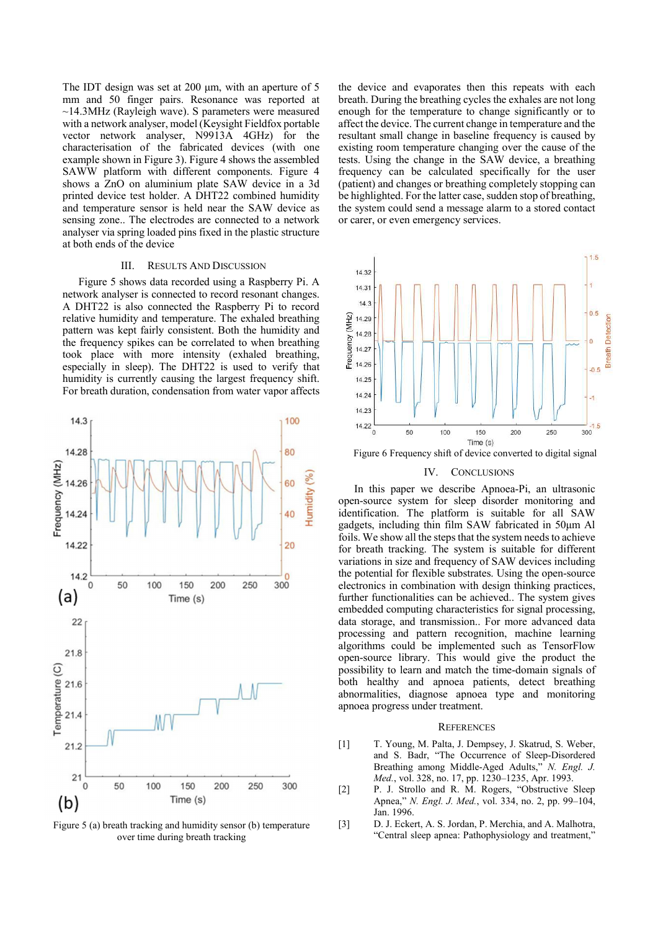The IDT design was set at 200 μm, with an aperture of 5 mm and 50 finger pairs. Resonance was reported at  $\sim$ 14.3MHz (Rayleigh wave). S parameters were measured with a network analyser, model (Keysight Fieldfox portable vector network analyser, N9913A 4GHz) for the characterisation of the fabricated devices (with one example shown in Figure 3). Figure 4 shows the assembled SAWW platform with different components. Figure 4 shows a ZnO on aluminium plate SAW device in a 3d printed device test holder. A DHT22 combined humidity and temperature sensor is held near the SAW device as sensing zone.. The electrodes are connected to a network analyser via spring loaded pins fixed in the plastic structure at both ends of the device

#### III. RESULTS AND DISCUSSION

Figure 5 shows data recorded using a Raspberry Pi. A network analyser is connected to record resonant changes. A DHT22 is also connected the Raspberry Pi to record relative humidity and temperature. The exhaled breathing pattern was kept fairly consistent. Both the humidity and the frequency spikes can be correlated to when breathing took place with more intensity (exhaled breathing, especially in sleep). The DHT22 is used to verify that humidity is currently causing the largest frequency shift. For breath duration, condensation from water vapor affects



Figure 5 (a) breath tracking and humidity sensor (b) temperature over time during breath tracking

the device and evaporates then this repeats with each breath. During the breathing cycles the exhales are not long enough for the temperature to change significantly or to affect the device. The current change in temperature and the resultant small change in baseline frequency is caused by existing room temperature changing over the cause of the tests. Using the change in the SAW device, a breathing frequency can be calculated specifically for the user (patient) and changes or breathing completely stopping can be highlighted. For the latter case, sudden stop of breathing, the system could send a message alarm to a stored contact or carer, or even emergency services.



Figure 6 Frequency shift of device converted to digital signal

#### IV. CONCLUSIONS

In this paper we describe Apnoea-Pi, an ultrasonic open-source system for sleep disorder monitoring and identification. The platform is suitable for all SAW gadgets, including thin film SAW fabricated in 50μm Al foils. We show all the steps that the system needs to achieve for breath tracking. The system is suitable for different variations in size and frequency of SAW devices including the potential for flexible substrates. Using the open-source electronics in combination with design thinking practices, further functionalities can be achieved.. The system gives embedded computing characteristics for signal processing, data storage, and transmission.. For more advanced data processing and pattern recognition, machine learning algorithms could be implemented such as TensorFlow open-source library. This would give the product the possibility to learn and match the time-domain signals of both healthy and apnoea patients, detect breathing abnormalities, diagnose apnoea type and monitoring apnoea progress under treatment.

#### **REFERENCES**

- [1] T. Young, M. Palta, J. Dempsey, J. Skatrud, S. Weber, and S. Badr, "The Occurrence of Sleep-Disordered Breathing among Middle-Aged Adults," *N. Engl. J. Med.*, vol. 328, no. 17, pp. 1230–1235, Apr. 1993.
- [2] P. J. Strollo and R. M. Rogers, "Obstructive Sleep Apnea," *N. Engl. J. Med.*, vol. 334, no. 2, pp. 99–104, Jan. 1996.
- [3] D. J. Eckert, A. S. Jordan, P. Merchia, and A. Malhotra, "Central sleep apnea: Pathophysiology and treatment,"